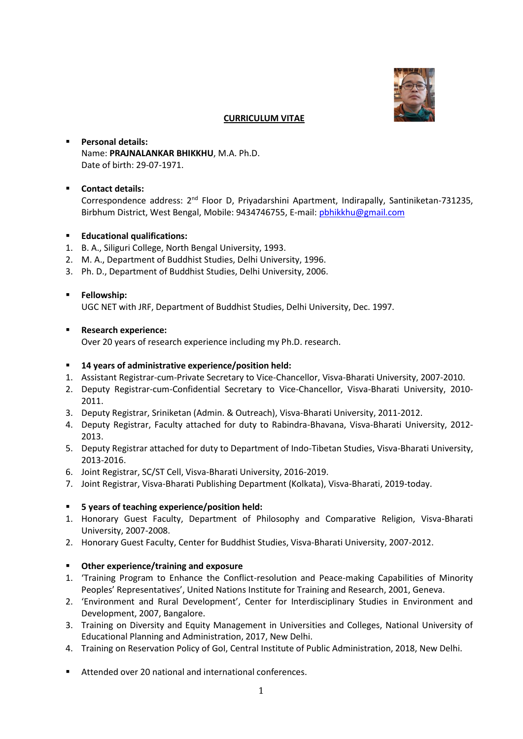

#### **CURRICULUM VITAE**

## ▪ **Personal details:** Name: **PRAJNALANKAR BHIKKHU**, M.A. Ph.D. Date of birth: 29-07-1971.

## ▪ **Contact details:**

Correspondence address: 2<sup>nd</sup> Floor D, Priyadarshini Apartment, Indirapally, Santiniketan-731235, Birbhum District, West Bengal, Mobile: 9434746755, E-mail: [pbhikkhu@gmail.com](mailto:pbhikkhu@gmail.com)

- **Educational qualifications:**
- 1. B. A., Siliguri College, North Bengal University, 1993.
- 2. M. A., Department of Buddhist Studies, Delhi University, 1996.
- 3. Ph. D., Department of Buddhist Studies, Delhi University, 2006.

#### ▪ **Fellowship:**

UGC NET with JRF, Department of Buddhist Studies, Delhi University, Dec. 1997.

#### ▪ **Research experience:**

Over 20 years of research experience including my Ph.D. research.

#### ▪ **14 years of administrative experience/position held:**

- 1. Assistant Registrar-cum-Private Secretary to Vice-Chancellor, Visva-Bharati University, 2007-2010.
- 2. Deputy Registrar-cum-Confidential Secretary to Vice-Chancellor, Visva-Bharati University, 2010- 2011.
- 3. Deputy Registrar, Sriniketan (Admin. & Outreach), Visva-Bharati University, 2011-2012.
- 4. Deputy Registrar, Faculty attached for duty to Rabindra-Bhavana, Visva-Bharati University, 2012- 2013.
- 5. Deputy Registrar attached for duty to Department of Indo-Tibetan Studies, Visva-Bharati University, 2013-2016.
- 6. Joint Registrar, SC/ST Cell, Visva-Bharati University, 2016-2019.
- 7. Joint Registrar, Visva-Bharati Publishing Department (Kolkata), Visva-Bharati, 2019-today.

# ▪ **5 years of teaching experience/position held:**

- 1. Honorary Guest Faculty, Department of Philosophy and Comparative Religion, Visva-Bharati University, 2007-2008.
- 2. Honorary Guest Faculty, Center for Buddhist Studies, Visva-Bharati University, 2007-2012.

# ▪ **Other experience/training and exposure**

- 1. 'Training Program to Enhance the Conflict-resolution and Peace-making Capabilities of Minority Peoples' Representatives', United Nations Institute for Training and Research, 2001, Geneva.
- 2. 'Environment and Rural Development', Center for Interdisciplinary Studies in Environment and Development, 2007, Bangalore.
- 3. Training on Diversity and Equity Management in Universities and Colleges, National University of Educational Planning and Administration, 2017, New Delhi.
- 4. Training on Reservation Policy of GoI, Central Institute of Public Administration, 2018, New Delhi.
- Attended over 20 national and international conferences.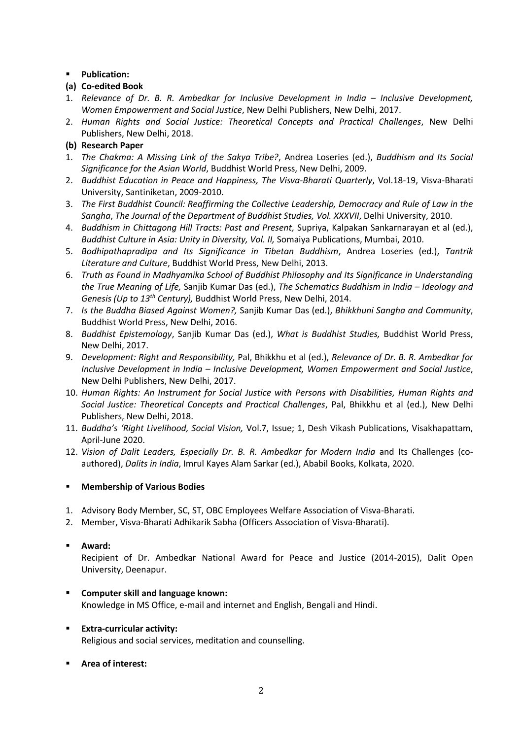# ▪ **Publication:**

# **(a) Co-edited Book**

- 1. Relevance of Dr. B. R. Ambedkar for Inclusive Development in India Inclusive Development, *Women Empowerment and Social Justice*, New Delhi Publishers, New Delhi, 2017.
- 2. *Human Rights and Social Justice: Theoretical Concepts and Practical Challenges*, New Delhi Publishers, New Delhi, 2018.

# **(b) Research Paper**

- 1. *The Chakma: A Missing Link of the Sakya Tribe?*, Andrea Loseries (ed.), *Buddhism and Its Social Significance for the Asian World*, Buddhist World Press, New Delhi, 2009.
- 2. *Buddhist Education in Peace and Happiness, The Visva-Bharati Quarterly*, Vol.18-19, Visva-Bharati University, Santiniketan, 2009-2010.
- 3. *The First Buddhist Council: Reaffirming the Collective Leadership, Democracy and Rule of Law in the Sangha*, *The Journal of the Department of Buddhist Studies, Vol. XXXVII*, Delhi University, 2010.
- 4. *Buddhism in Chittagong Hill Tracts: Past and Present,* Supriya, Kalpakan Sankarnarayan et al (ed.), *Buddhist Culture in Asia: Unity in Diversity, Vol. II,* Somaiya Publications, Mumbai, 2010.
- 5. *Bodhipathapradipa and Its Significance in Tibetan Buddhism*, Andrea Loseries (ed.), *Tantrik Literature and Culture*, Buddhist World Press, New Delhi, 2013.
- 6. *Truth as Found in Madhyamika School of Buddhist Philosophy and Its Significance in Understanding the True Meaning of Life,* Sanjib Kumar Das (ed.), *The Schematics Buddhism in India – Ideology and Genesis (Up to 13th Century),* Buddhist World Press, New Delhi, 2014.
- 7. *Is the Buddha Biased Against Women?,* Sanjib Kumar Das (ed.), *Bhikkhuni Sangha and Community*, Buddhist World Press, New Delhi, 2016.
- 8. *Buddhist Epistemology*, Sanjib Kumar Das (ed.), *What is Buddhist Studies,* Buddhist World Press, New Delhi, 2017.
- 9. *Development: Right and Responsibility,* Pal, Bhikkhu et al (ed.), *Relevance of Dr. B. R. Ambedkar for Inclusive Development in India – Inclusive Development, Women Empowerment and Social Justice*, New Delhi Publishers, New Delhi, 2017.
- 10. *Human Rights: An Instrument for Social Justice with Persons with Disabilities, Human Rights and Social Justice: Theoretical Concepts and Practical Challenges*, Pal, Bhikkhu et al (ed.), New Delhi Publishers, New Delhi, 2018.
- 11. *Buddha's 'Right Livelihood, Social Vision,* Vol.7, Issue; 1, Desh Vikash Publications, Visakhapattam, April-June 2020.
- 12. *Vision of Dalit Leaders, Especially Dr. B. R. Ambedkar for Modern India* and Its Challenges (coauthored), *Dalits in India*, Imrul Kayes Alam Sarkar (ed.), Ababil Books, Kolkata, 2020.

# ▪ **Membership of Various Bodies**

- 1. Advisory Body Member, SC, ST, OBC Employees Welfare Association of Visva-Bharati.
- 2. Member, Visva-Bharati Adhikarik Sabha (Officers Association of Visva-Bharati).

# ▪ **Award:**

Recipient of Dr. Ambedkar National Award for Peace and Justice (2014-2015), Dalit Open University, Deenapur.

# ▪ **Computer skill and language known:**  Knowledge in MS Office, e-mail and internet and English, Bengali and Hindi.

- **Extra-curricular activity:**  Religious and social services, meditation and counselling.
- **Area of interest:**